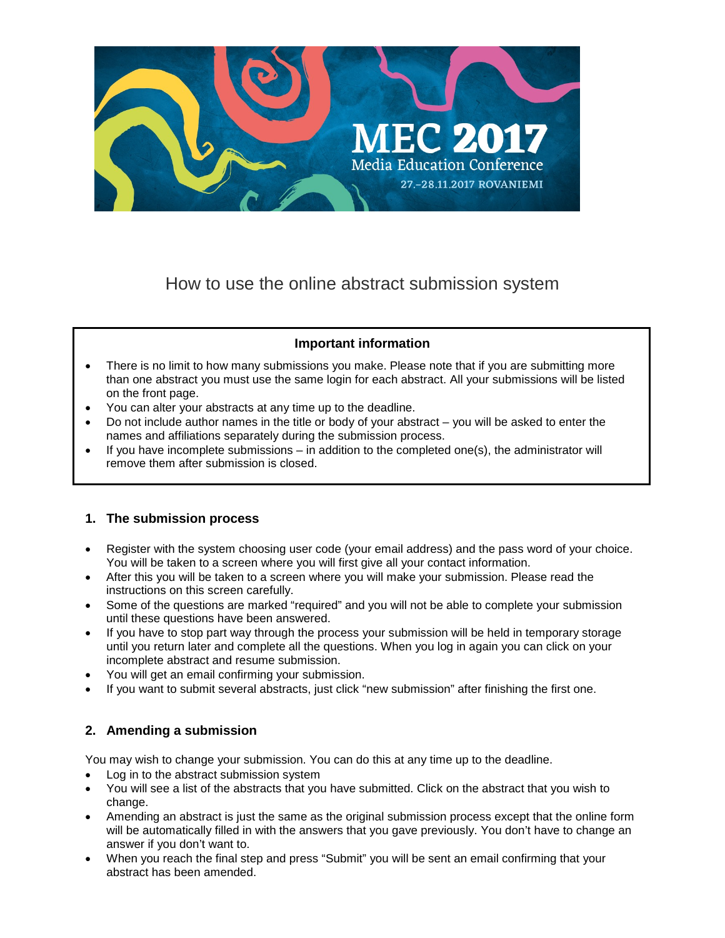

How to use the online abstract submission system

## **Important information**

- There is no limit to how many submissions you make. Please note that if you are submitting more than one abstract you must use the same login for each abstract. All your submissions will be listed on the front page.
- You can alter your abstracts at any time up to the deadline.
- Do not include author names in the title or body of your abstract you will be asked to enter the names and affiliations separately during the submission process.
- If you have incomplete submissions in addition to the completed one(s), the administrator will remove them after submission is closed.

### **1. The submission process**

- Register with the system choosing user code (your email address) and the pass word of your choice. You will be taken to a screen where you will first give all your contact information.
- After this you will be taken to a screen where you will make your submission. Please read the instructions on this screen carefully.
- Some of the questions are marked "required" and you will not be able to complete your submission until these questions have been answered.
- If you have to stop part way through the process your submission will be held in temporary storage until you return later and complete all the questions. When you log in again you can click on your incomplete abstract and resume submission.
- You will get an email confirming your submission.
- If you want to submit several abstracts, just click "new submission" after finishing the first one.

# **2. Amending a submission**

You may wish to change your submission. You can do this at any time up to the deadline.

- Log in to the abstract submission system
- You will see a list of the abstracts that you have submitted. Click on the abstract that you wish to change.
- Amending an abstract is just the same as the original submission process except that the online form will be automatically filled in with the answers that you gave previously. You don't have to change an answer if you don't want to.
- When you reach the final step and press "Submit" you will be sent an email confirming that your abstract has been amended.